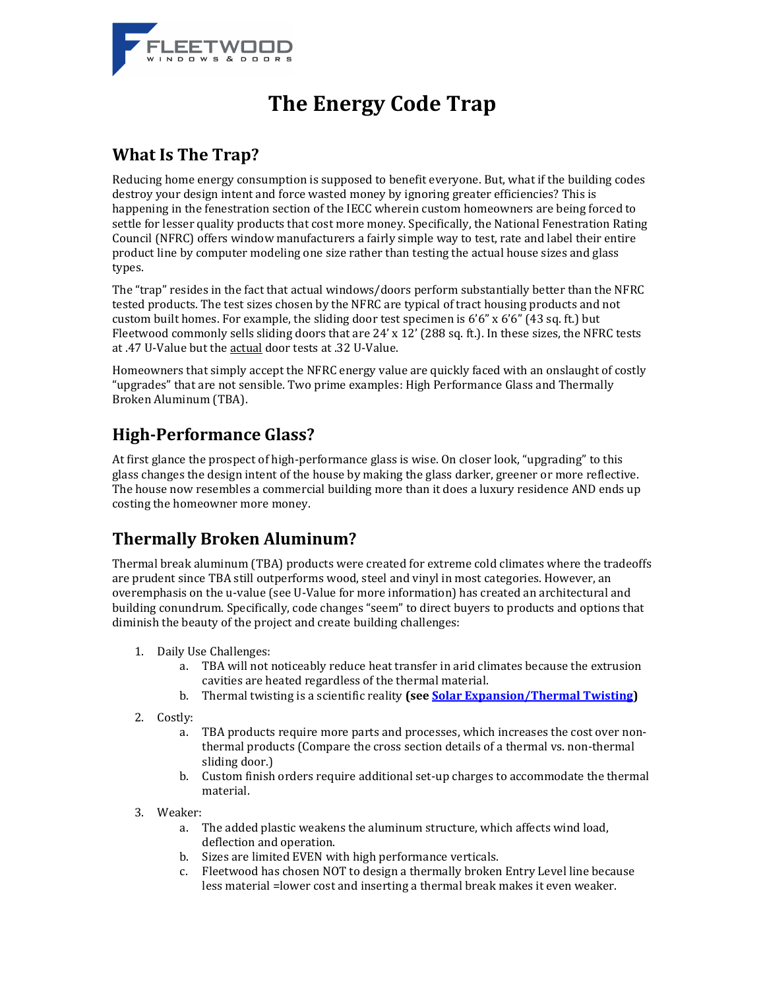

# **The Energy Code Trap**

#### **What Is The Trap?**

Reducing home energy consumption is supposed to benefit everyone. But, what if the building codes destroy your design intent and force wasted money by ignoring greater efficiencies? This is happening in the fenestration section of the IECC wherein custom homeowners are being forced to settle for lesser quality products that cost more money. Specifically, the National Fenestration Rating Council (NFRC) offers window manufacturers a fairly simple way to test, rate and label their entire product line by computer modeling one size rather than testing the actual house sizes and glass types.

The "trap" resides in the fact that actual windows/doors perform substantially better than the NFRC tested products. The test sizes chosen by the NFRC are typical of tract housing products and not custom built homes. For example, the sliding door test specimen is  $6'6''$  x  $6'6''$  (43 sq. ft.) but Fleetwood commonly sells sliding doors that are 24' x 12' (288 sq. ft.). In these sizes, the NFRC tests at .47 U-Value but the actual door tests at .32 U-Value.

Homeowners that simply accept the NFRC energy value are quickly faced with an onslaught of costly "upgrades" that are not sensible. Two prime examples: High Performance Glass and Thermally Broken Aluminum (TBA).

## **High-Performance Glass?**

At first glance the prospect of high-performance glass is wise. On closer look, "upgrading" to this glass changes the design intent of the house by making the glass darker, greener or more reflective. The house now resembles a commercial building more than it does a luxury residence AND ends up costing the homeowner more money.

### **Thermally Broken Aluminum?**

Thermal break aluminum (TBA) products were created for extreme cold climates where the tradeoffs are prudent since TBA still outperforms wood, steel and vinyl in most categories. However, an overemphasis on the u-value (see U-Value for more information) has created an architectural and building conundrum. Specifically, code changes "seem" to direct buyers to products and options that diminish the beauty of the project and create building challenges:

- 1. Daily Use Challenges:
	- a. TBA will not noticeably reduce heat transfer in arid climates because the extrusion cavities are heated regardless of the thermal material.
	- b. Thermal twisting is a scientific reality **(see [Solar Expansion/Thermal Twisting\)](http://www.fleetwoodusa.net/Documents_Guide/Products/_General/Solar_Expansion_Thermal_Twisting.pdf)**
- 2. Costly:
	- a. TBA products require more parts and processes, which increases the cost over nonthermal products (Compare the cross section details of a thermal vs. non-thermal sliding door.)
	- b. Custom finish orders require additional set-up charges to accommodate the thermal material.
- 3. Weaker:
	- a. The added plastic weakens the aluminum structure, which affects wind load, deflection and operation.
	- b. Sizes are limited EVEN with high performance verticals.
	- c. Fleetwood has chosen NOT to design a thermally broken Entry Level line because less material =lower cost and inserting a thermal break makes it even weaker.